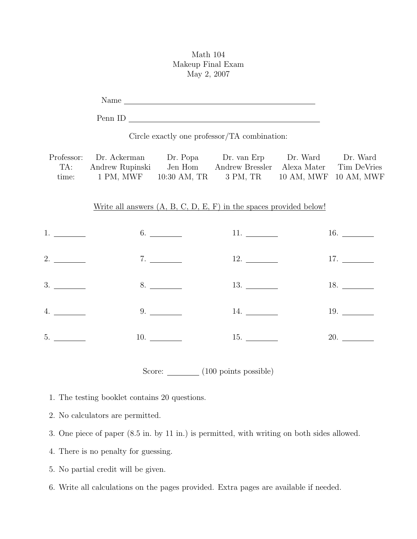## Math 104 Makeup Final Exam May 2, 2007

Name

Penn ID

Circle exactly one professor/TA combination:

|       | Professor: Dr. Ackerman | Dr. Popa     | Dr. van Erp                             | Dr. Ward              | Dr. Ward |
|-------|-------------------------|--------------|-----------------------------------------|-----------------------|----------|
| TA:   | Andrew Rupinski         | Jen Hom      | Andrew Bressler Alexa Mater Tim DeVries |                       |          |
| time: | 1 PM, MWF               | 10:30 AM, TR | 3 PM, TR                                | 10 AM, MWF 10 AM, MWF |          |

## Write all answers (A, B, C, D, E, F) in the spaces provided below!

|  | $3.$ 8. 8. 13. 13. 18. |  |
|--|------------------------|--|
|  | $4.$ $9.$ $14.$ $19.$  |  |
|  | $5.$ 10. 10. 15. 20.   |  |

Score:  $\frac{100}{200}$  points possible)

1. The testing booklet contains 20 questions.

- 2. No calculators are permitted.
- 3. One piece of paper (8.5 in. by 11 in.) is permitted, with writing on both sides allowed.
- 4. There is no penalty for guessing.
- 5. No partial credit will be given.
- 6. Write all calculations on the pages provided. Extra pages are available if needed.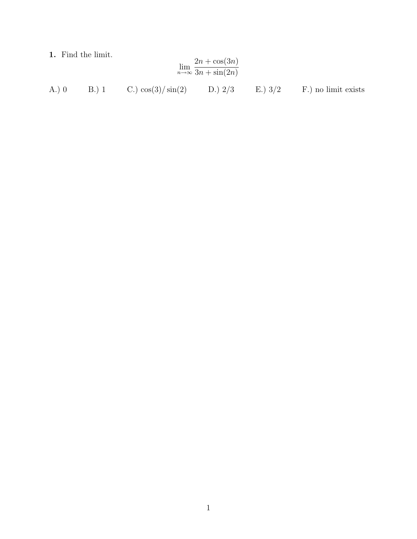1. Find the limit.

$$
\lim_{n \to \infty} \frac{2n + \cos(3n)}{3n + \sin(2n)}
$$

A.) 0 B.) 1 C.)  $\cos(3)/\sin(2)$  D.)  $2/3$  E.)  $3/2$  F.) no limit exists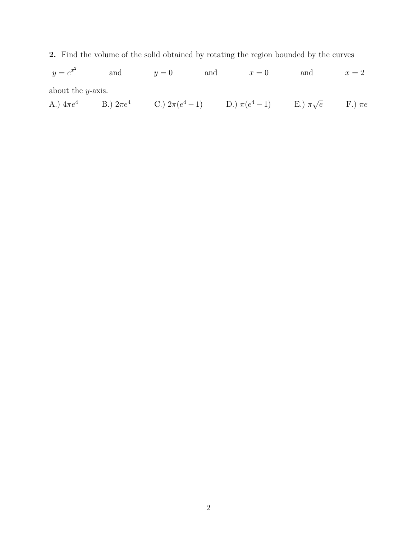2. Find the volume of the solid obtained by rotating the region bounded by the curves

 $y=e^{x^2}$ and  $y = 0$  and  $x = 0$  and  $x = 2$ about the y-axis.

A.)  $4\pi e^4$  B.)  $2\pi e^4$  C.)  $2\pi (e^4 - 1)$  D.)  $\pi (e^4 - 1)$  E.)  $\pi \sqrt{ }$  $\overline{e}$  F.)  $\pi e$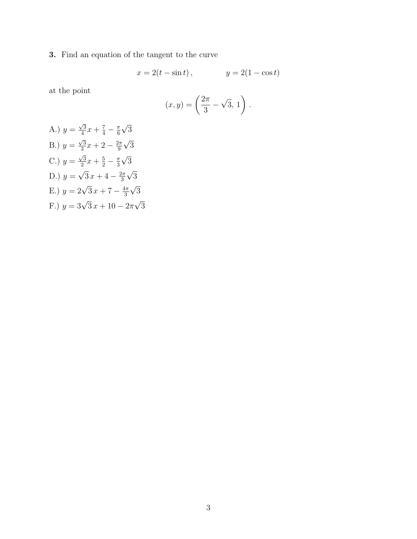3. Find an equation of the tangent to the curve

$$
x = 2(t - \sin t),
$$
  $y = 2(1 - \cos t)$ 

at the point

$$
(x,y) = \left(\frac{2\pi}{3} - \sqrt{3}, 1\right).
$$

A.) 
$$
y = \frac{\sqrt{3}}{4}x + \frac{7}{4} - \frac{\pi}{6}\sqrt{3}
$$
  
\nB.)  $y = \frac{\sqrt{3}}{3}x + 2 - \frac{2\pi}{9}\sqrt{3}$   
\nC.)  $y = \frac{\sqrt{3}}{2}x + \frac{5}{2} - \frac{\pi}{3}\sqrt{3}$   
\nD.)  $y = \sqrt{3}x + 4 - \frac{2\pi}{3}\sqrt{3}$   
\nE.)  $y = 2\sqrt{3}x + 7 - \frac{4\pi}{3}\sqrt{3}$   
\nF.)  $y = 3\sqrt{3}x + 10 - 2\pi\sqrt{3}$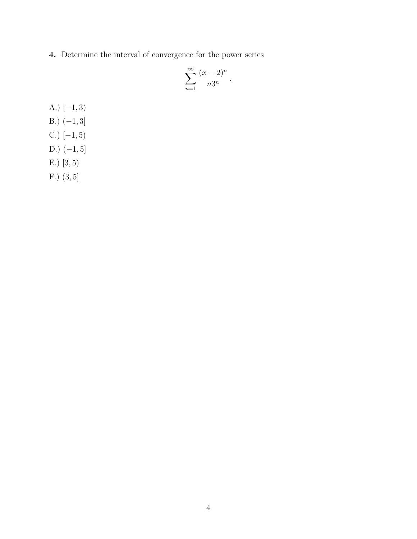4. Determine the interval of convergence for the power series

$$
\sum_{n=1}^{\infty} \frac{(x-2)^n}{n3^n}.
$$

A.)  $[-1, 3)$ B.)  $(-1, 3]$ C.)  $[-1, 5)$ 

- D.)  $(-1, 5]$
- E.) [3, 5)
- F.) (3, 5]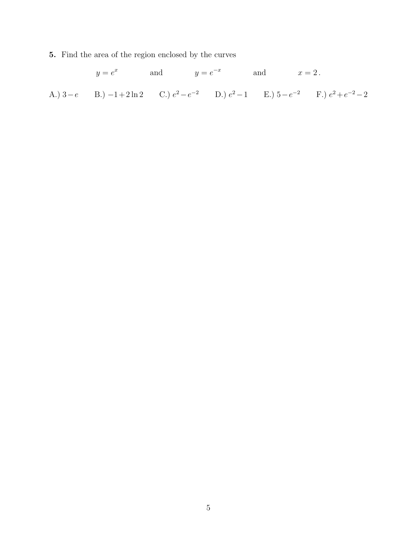5. Find the area of the region enclosed by the curves

 $y = e^x$  and  $y = e^{-x}$  and  $x = 2$ . A.)  $3-e$  B.)  $-1+2\ln 2$  C.)  $e^2-e^{-2}$  D.)  $e^2-1$  E.)  $5-e^{-2}$  F.)  $e^2+e^{-2}-2$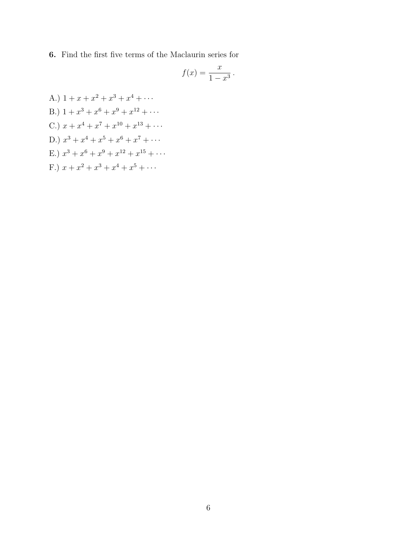6. Find the first five terms of the Maclaurin series for

$$
f(x) = \frac{x}{1 - x^3} \, .
$$

A.)  $1 + x + x^2 + x^3 + x^4 + \cdots$ B.)  $1 + x^3 + x^6 + x^9 + x^{12} + \cdots$ C.)  $x + x^4 + x^7 + x^{10} + x^{13} + \cdots$ D.)  $x^3 + x^4 + x^5 + x^6 + x^7 + \cdots$ E.)  $x^3 + x^6 + x^9 + x^{12} + x^{15} + \cdots$ F.)  $x + x^2 + x^3 + x^4 + x^5 + \cdots$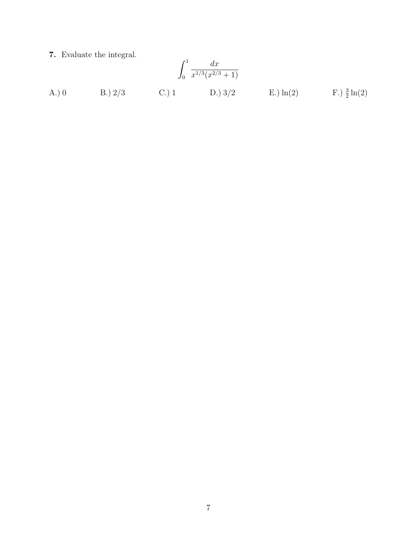7. Evaluate the integral.

A.) 0  
\nB.) 2/3  
\nC.) 1  
\nD.) 3/2  
\nE.) ln(2  
\nF.) 
$$
\frac{3}{2}
$$
ln(2)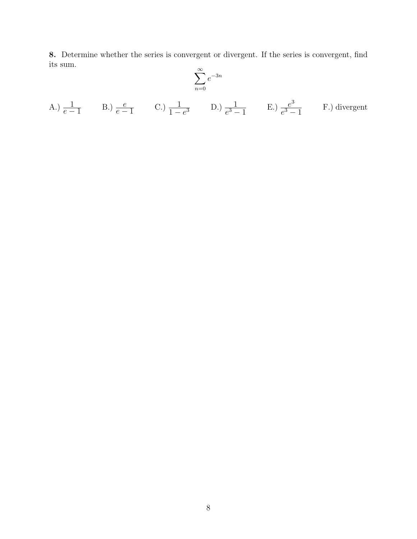8. Determine whether the series is convergent or divergent. If the series is convergent, find its sum.  $\,$ 

$$
\sum_{n=0}^{\infty} e^{-3n}
$$

A.) 
$$
\frac{1}{e-1}
$$
 B.)  $\frac{e}{e-1}$  C.)  $\frac{1}{1-e^3}$  D.)  $\frac{1}{e^3-1}$  E.)  $\frac{e^3}{e^3-1}$  F.) divergent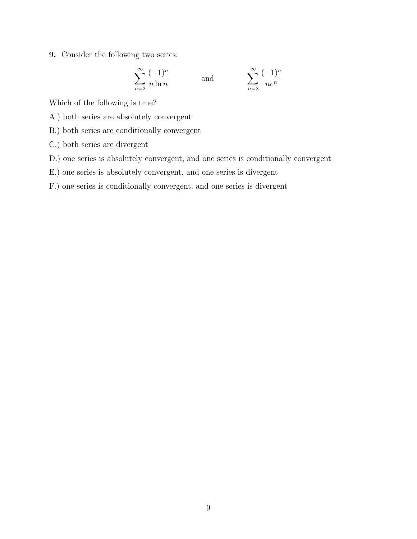9. Consider the following two series:

$$
\sum_{n=2}^{\infty} \frac{(-1)^n}{n \ln n}
$$
 and 
$$
\sum_{n=2}^{\infty}
$$

 $(-1)^n$ ne<sup>n</sup>

Which of the following is true?

- A.) both series are absolutely convergent
- B.) both series are conditionally convergent
- C.) both series are divergent
- D.) one series is absolutely convergent, and one series is conditionally convergent
- E.) one series is absolutely convergent, and one series is divergent
- F.) one series is conditionally convergent, and one series is divergent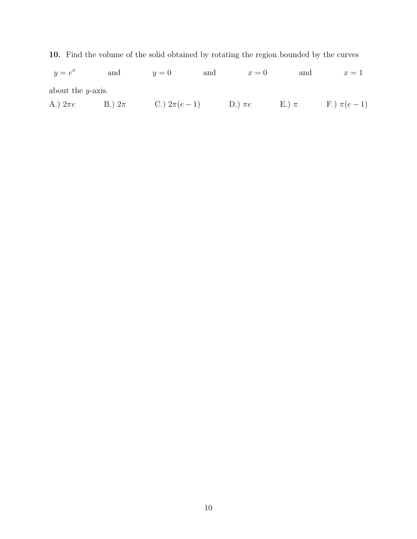10. Find the volume of the solid obtained by rotating the region bounded by the curves

 $y=e^x$ and  $y = 0$  and  $x = 0$  and  $x = 1$ about the y-axis.

A.)  $2\pi e$  B.)  $2\pi$  C.)  $2\pi(e-1)$  D.)  $\pi e$  E.)  $\pi$  F.)  $\pi(e-1)$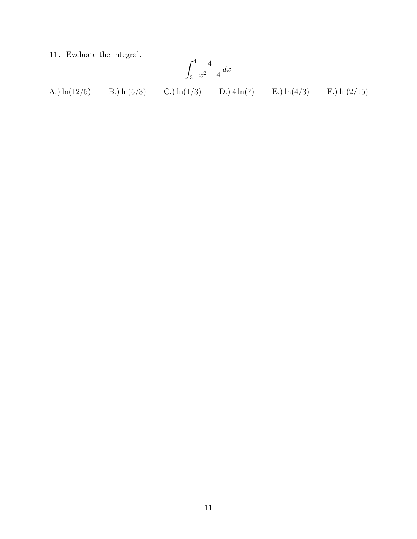11. Evaluate the integral.

$$
\int_3^4 \frac{4}{x^2 - 4} \, dx
$$

A.)  $\ln(12/5)$  $B.) ln(5/3)$ C.)  $ln(1/3)$ D.)  $4\ln(7)$ E.)  $\ln(4/3)$ F.)  $\ln(2/15)$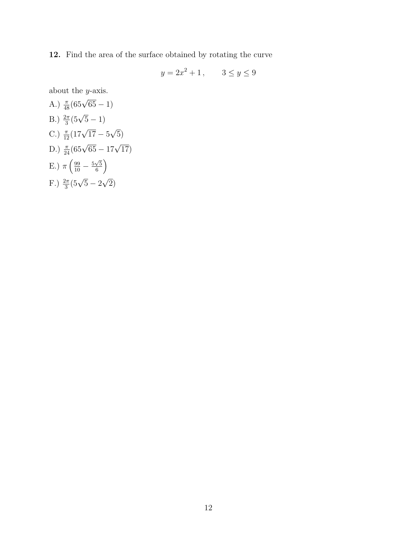12. Find the area of the surface obtained by rotating the curve

$$
y = 2x^2 + 1
$$
,  $3 \le y \le 9$ 

about the y-axis.

A.) 
$$
\frac{\pi}{48}(65\sqrt{65} - 1)
$$
  
\nB.)  $\frac{2\pi}{3}(5\sqrt{5} - 1)$   
\nC.)  $\frac{\pi}{12}(17\sqrt{17} - 5\sqrt{5})$   
\nD.)  $\frac{\pi}{24}(65\sqrt{65} - 17\sqrt{17})$   
\nE.)  $\pi\left(\frac{99}{10} - \frac{5\sqrt{5}}{6}\right)$   
\nF.)  $\frac{2\pi}{3}(5\sqrt{5} - 2\sqrt{2})$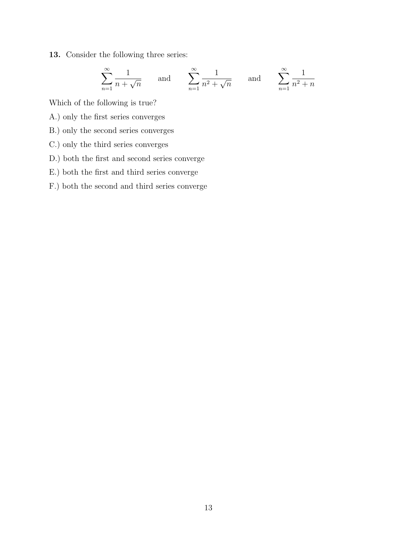13. Consider the following three series:

$$
\sum_{n=1}^{\infty} \frac{1}{n + \sqrt{n}} \quad \text{and} \quad \sum_{n=1}^{\infty} \frac{1}{n^2 + \sqrt{n}} \quad \text{and} \quad \sum_{n=1}^{\infty} \frac{1}{n^2 + n}
$$

Which of the following is true?

- A.) only the first series converges
- B.) only the second series converges
- C.) only the third series converges
- D.) both the first and second series converge
- E.) both the first and third series converge
- F.) both the second and third series converge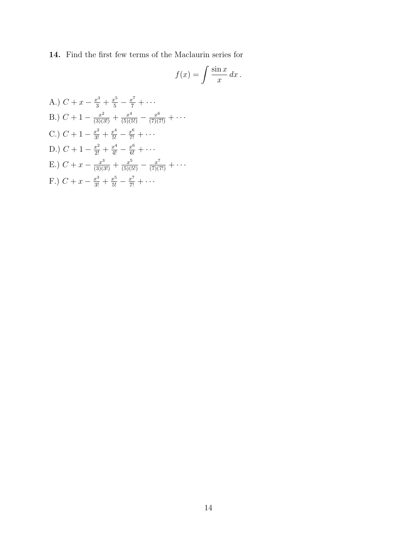14. Find the first few terms of the Maclaurin series for

$$
f(x) = \int \frac{\sin x}{x} dx.
$$

A.) 
$$
C + x - \frac{x^3}{3} + \frac{x^5}{5} - \frac{x^7}{7} + \cdots
$$
  
\nB.)  $C + 1 - \frac{x^2}{(3)(3!)} + \frac{x^4}{(5)(5!)} - \frac{x^6}{(7)(7!)} + \cdots$   
\nC.)  $C + 1 - \frac{x^2}{3!} + \frac{x^4}{5!} - \frac{x^6}{7!} + \cdots$   
\nD.)  $C + 1 - \frac{x^2}{2!} + \frac{x^4}{4!} - \frac{x^6}{6!} + \cdots$   
\nE.)  $C + x - \frac{x^3}{(3)(3!)} + \frac{x^5}{(5)(5!)} - \frac{x^7}{(7)(7!)} + \cdots$   
\nF.)  $C + x - \frac{x^3}{3!} + \frac{x^5}{5!} - \frac{x^7}{7!} + \cdots$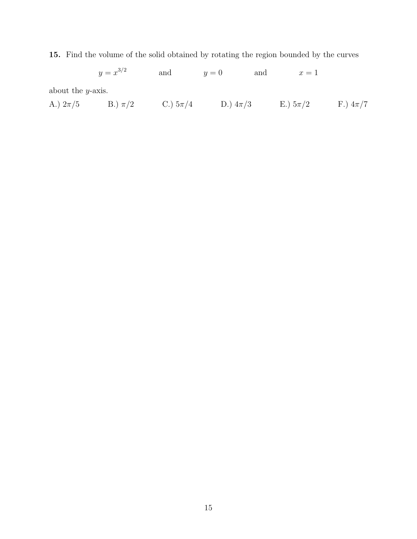15. Find the volume of the solid obtained by rotating the region bounded by the curves

 $y = x^{3/2}$  and  $y = 0$  and  $x = 1$ about the y-axis. A.)  $2\pi/5$  B.)  $\pi/2$  C.)  $5\pi/4$  D.)  $4\pi/3$  E.)  $5\pi/2$  F.)  $4\pi/7$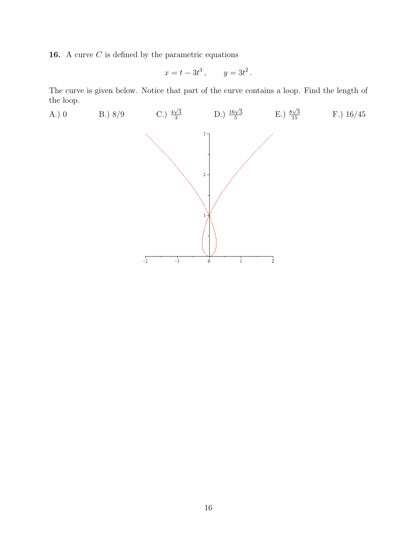**16.** A curve  $C$  is defined by the parametric equations

$$
x = t - 3t^3, \qquad y = 3t^2.
$$

The curve is given below. Notice that part of the curve contains a loop. Find the length of the loop.

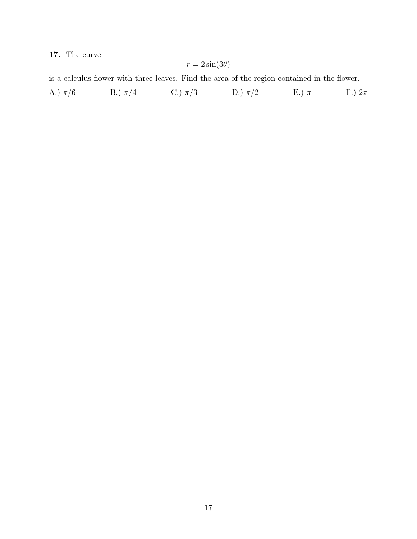## 17. The curve

$$
r = 2\sin(3\theta)
$$

is a calculus flower with three leaves. Find the area of the region contained in the flower.

A.)  $\pi/6$  B.)  $\pi/4$  C.)  $\pi/3$  D.)  $\pi/2$  E.)  $\pi$  F.)  $2\pi$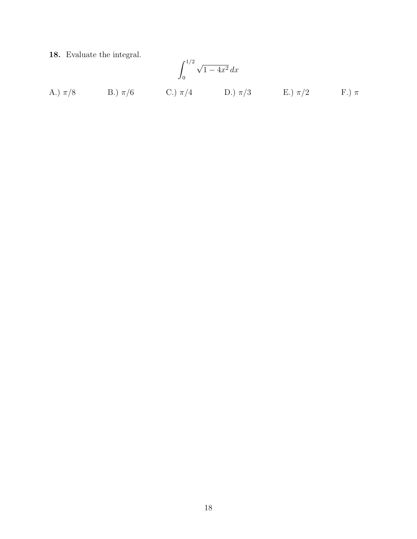18. Evaluate the integral.

$$
\int_0^{1/2} \sqrt{1 - 4x^2} \, dx
$$
  
\nA.)  $\pi/8$  \t B.)  $\pi/6$  \t C.)  $\pi/4$  \t D.)  $\pi/3$  \t E.)  $\pi/2$  \t F.)  $\pi$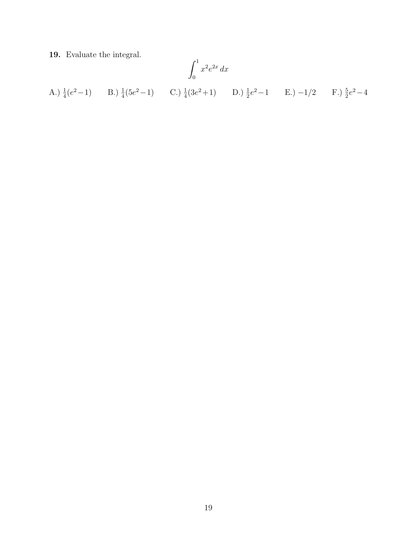19. Evaluate the integral.

A.) 
$$
\frac{1}{4}(e^2-1)
$$
 B.)  $\frac{1}{4}(5e^2-1)$  C.)  $\frac{1}{4}(3e^2+1)$  D.)  $\frac{1}{2}e^2-1$  E.)  $-1/2$  F.)  $\frac{5}{2}e^2-4$